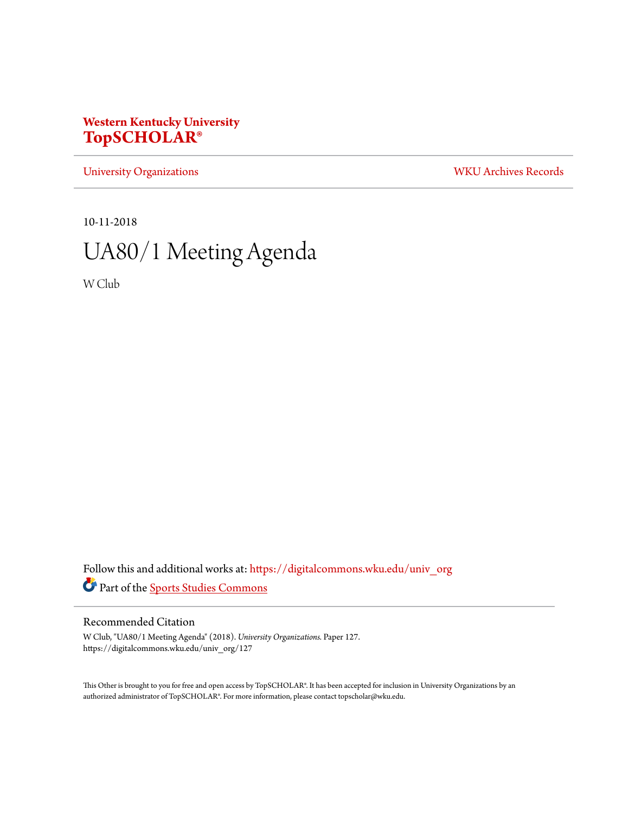## **Western Kentucky University [TopSCHOLAR®](https://digitalcommons.wku.edu?utm_source=digitalcommons.wku.edu%2Funiv_org%2F127&utm_medium=PDF&utm_campaign=PDFCoverPages)**

[University Organizations](https://digitalcommons.wku.edu/univ_org?utm_source=digitalcommons.wku.edu%2Funiv_org%2F127&utm_medium=PDF&utm_campaign=PDFCoverPages) [WKU Archives Records](https://digitalcommons.wku.edu/dlsc_ua_records?utm_source=digitalcommons.wku.edu%2Funiv_org%2F127&utm_medium=PDF&utm_campaign=PDFCoverPages)

10-11-2018

# UA80/1 Meeting Agenda

W Club

Follow this and additional works at: [https://digitalcommons.wku.edu/univ\\_org](https://digitalcommons.wku.edu/univ_org?utm_source=digitalcommons.wku.edu%2Funiv_org%2F127&utm_medium=PDF&utm_campaign=PDFCoverPages) Part of the [Sports Studies Commons](http://network.bepress.com/hgg/discipline/1198?utm_source=digitalcommons.wku.edu%2Funiv_org%2F127&utm_medium=PDF&utm_campaign=PDFCoverPages)

#### Recommended Citation

W Club, "UA80/1 Meeting Agenda" (2018). *University Organizations.* Paper 127. https://digitalcommons.wku.edu/univ\_org/127

This Other is brought to you for free and open access by TopSCHOLAR®. It has been accepted for inclusion in University Organizations by an authorized administrator of TopSCHOLAR®. For more information, please contact topscholar@wku.edu.